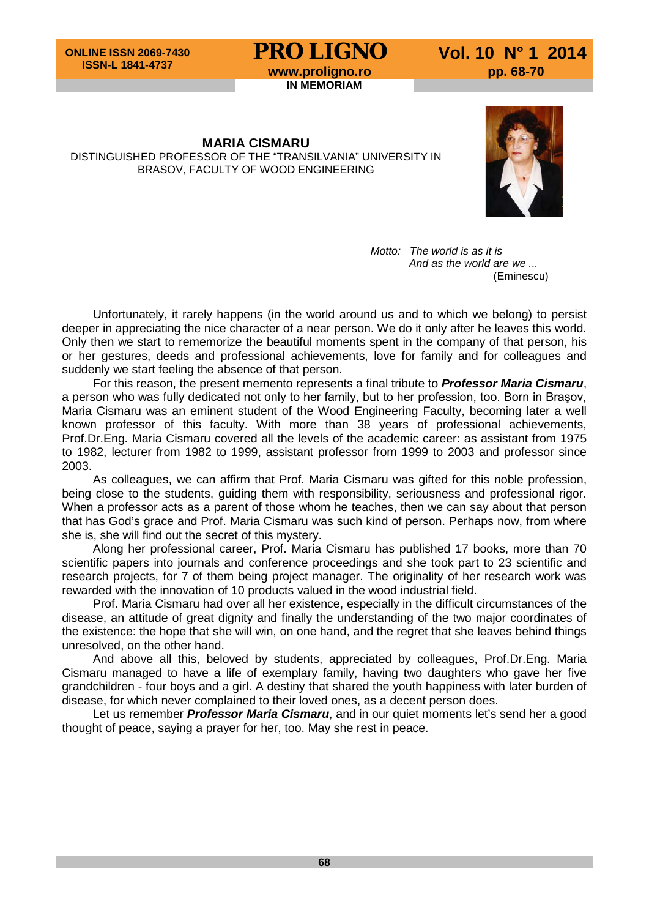## **PRO LIGNO** Vol. 10 N° 1 2014<br>www.proligno.ro pp. 68-70

**IN MEMORIAM**

**MARIA CISMARU** DISTINGUISHED PROFESSOR OF THE "TRANSILVANIA" UNIVERSITY IN BRASOV, FACULTY OF WOOD ENGINEERING



*Motto: The world is as it is And as the world are we ...* (Eminescu)

Unfortunately, it rarely happens (in the world around us and to which we belong) to persist deeper in appreciating the nice character of a near person. We do it only after he leaves this world. Only then we start to rememorize the beautiful moments spent in the company of that person, his or her gestures, deeds and professional achievements, love for family and for colleagues and suddenly we start feeling the absence of that person.

For this reason, the present memento represents a final tribute to *Professor Maria Cismaru*, a person who was fully dedicated not only to her family, but to her profession, too. Born in Braşov, Maria Cismaru was an eminent student of the Wood Engineering Faculty, becoming later a well known professor of this faculty. With more than 38 years of professional achievements, Prof.Dr.Eng. Maria Cismaru covered all the levels of the academic career: as assistant from 1975 to 1982, lecturer from 1982 to 1999, assistant professor from 1999 to 2003 and professor since 2003.

As colleagues, we can affirm that Prof. Maria Cismaru was gifted for this noble profession, being close to the students, guiding them with responsibility, seriousness and professional rigor. When a professor acts as a parent of those whom he teaches, then we can say about that person that has God's grace and Prof. Maria Cismaru was such kind of person. Perhaps now, from where she is, she will find out the secret of this mystery.

Along her professional career, Prof. Maria Cismaru has published 17 books, more than 70 scientific papers into journals and conference proceedings and she took part to 23 scientific and research projects, for 7 of them being project manager. The originality of her research work was rewarded with the innovation of 10 products valued in the wood industrial field.

Prof. Maria Cismaru had over all her existence, especially in the difficult circumstances of the disease, an attitude of great dignity and finally the understanding of the two major coordinates of the existence: the hope that she will win, on one hand, and the regret that she leaves behind things unresolved, on the other hand.

And above all this, beloved by students, appreciated by colleagues, Prof.Dr.Eng. Maria Cismaru managed to have a life of exemplary family, having two daughters who gave her five grandchildren - four boys and a girl. A destiny that shared the youth happiness with later burden of disease, for which never complained to their loved ones, as a decent person does.

Let us remember *Professor Maria Cismaru*, and in our quiet moments let's send her a good thought of peace, saying a prayer for her, too. May she rest in peace.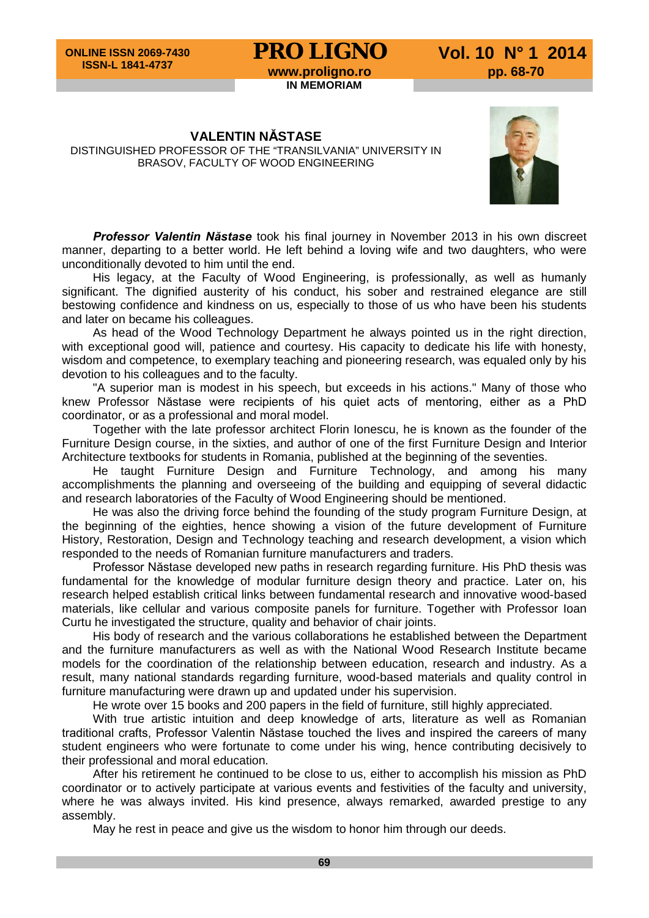## **PRO LIGNO** Vol. 10 N° 1 2014<br>www.proligno.ro pp. 68-70

**IN MEMORIAM**

**VALENTIN NĂSTASE** DISTINGUISHED PROFESSOR OF THE "TRANSILVANIA" UNIVERSITY IN BRASOV, FACULTY OF WOOD ENGINEERING



*Professor Valentin Năstase* took his final journey in November 2013 in his own discreet manner, departing to a better world. He left behind a loving wife and two daughters, who were unconditionally devoted to him until the end.

His legacy, at the Faculty of Wood Engineering, is professionally, as well as humanly significant. The dignified austerity of his conduct, his sober and restrained elegance are still bestowing confidence and kindness on us, especially to those of us who have been his students and later on became his colleagues.

As head of the Wood Technology Department he always pointed us in the right direction, with exceptional good will, patience and courtesy. His capacity to dedicate his life with honesty, wisdom and competence, to exemplary teaching and pioneering research, was equaled only by his devotion to his colleagues and to the faculty.

"A superior man is modest in his speech, but exceeds in his actions." Many of those who knew Professor Năstase were recipients of his quiet acts of mentoring, either as a PhD coordinator, or as a professional and moral model.

Together with the late professor architect Florin Ionescu, he is known as the founder of the Furniture Design course, in the sixties, and author of one of the first Furniture Design and Interior Architecture textbooks for students in Romania, published at the beginning of the seventies.

He taught Furniture Design and Furniture Technology, and among his many accomplishments the planning and overseeing of the building and equipping of several didactic and research laboratories of the Faculty of Wood Engineering should be mentioned.

He was also the driving force behind the founding of the study program Furniture Design, at the beginning of the eighties, hence showing a vision of the future development of Furniture History, Restoration, Design and Technology teaching and research development, a vision which responded to the needs of Romanian furniture manufacturers and traders.

Professor Năstase developed new paths in research regarding furniture. His PhD thesis was fundamental for the knowledge of modular furniture design theory and practice. Later on, his research helped establish critical links between fundamental research and innovative wood-based materials, like cellular and various composite panels for furniture. Together with Professor Ioan Curtu he investigated the structure, quality and behavior of chair joints.

His body of research and the various collaborations he established between the Department and the furniture manufacturers as well as with the National Wood Research Institute became models for the coordination of the relationship between education, research and industry. As a result, many national standards regarding furniture, wood-based materials and quality control in furniture manufacturing were drawn up and updated under his supervision.

He wrote over 15 books and 200 papers in the field of furniture, still highly appreciated.

With true artistic intuition and deep knowledge of arts, literature as well as Romanian traditional crafts, Professor Valentin Năstase touched the lives and inspired the careers of many student engineers who were fortunate to come under his wing, hence contributing decisively to their professional and moral education.

After his retirement he continued to be close to us, either to accomplish his mission as PhD coordinator or to actively participate at various events and festivities of the faculty and university, where he was always invited. His kind presence, always remarked, awarded prestige to any assembly.

May he rest in peace and give us the wisdom to honor him through our deeds.